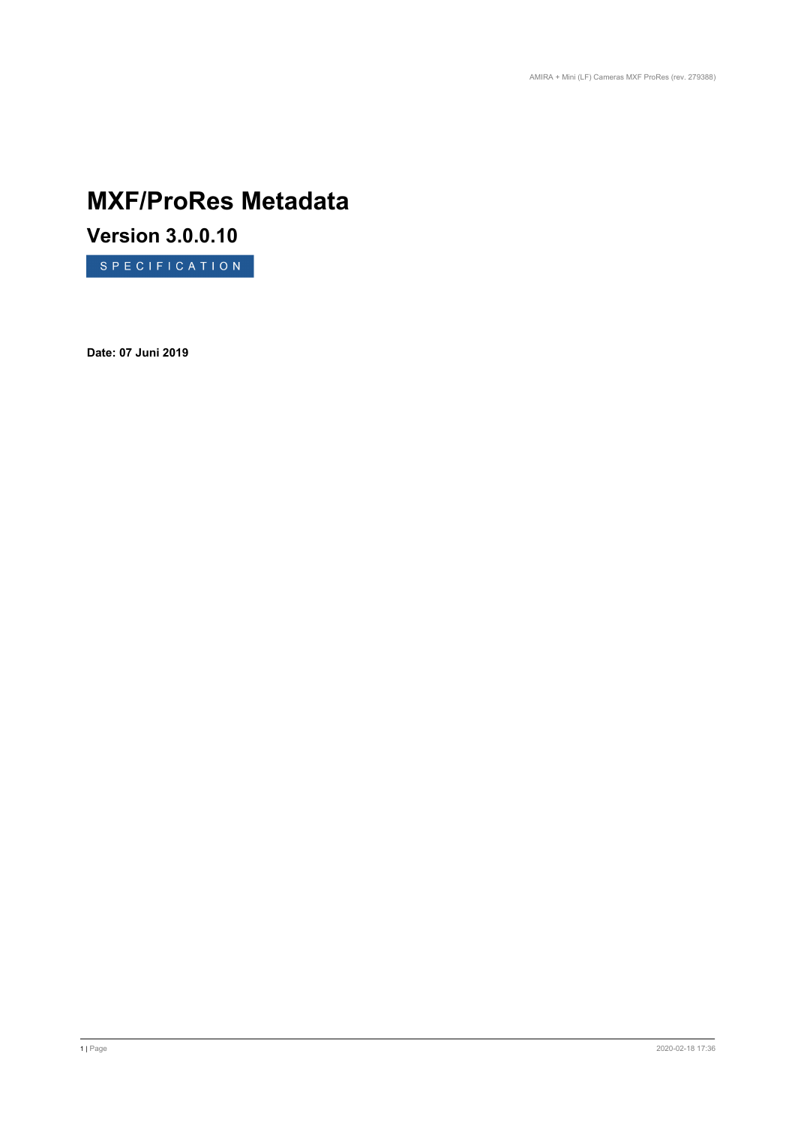# **MXF/ProRes Metadata**

**Version 3.0.0.10**

SPECIFICATION

**Date: 07 Juni 2019**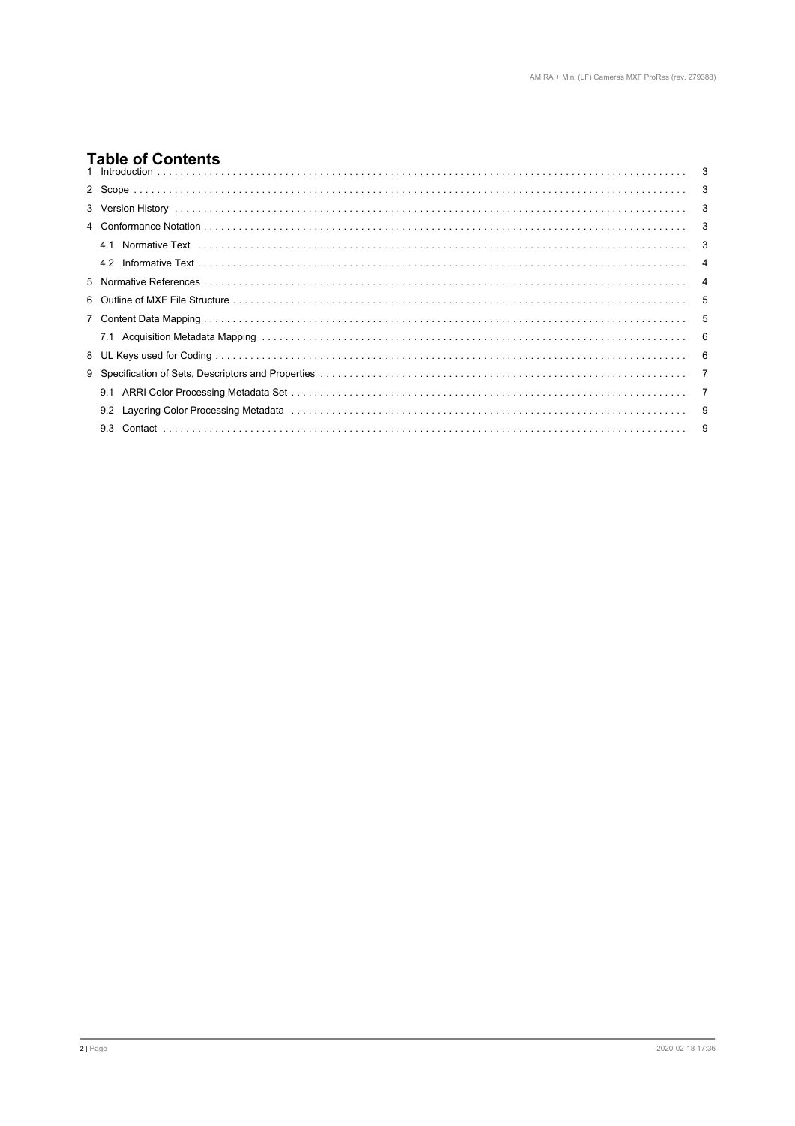# **Table of Contents**

| ייווייטו שטוווייט |  |
|-------------------|--|
|                   |  |
|                   |  |
|                   |  |
| 41                |  |
|                   |  |
|                   |  |
|                   |  |
|                   |  |
|                   |  |
|                   |  |
|                   |  |
|                   |  |
|                   |  |
|                   |  |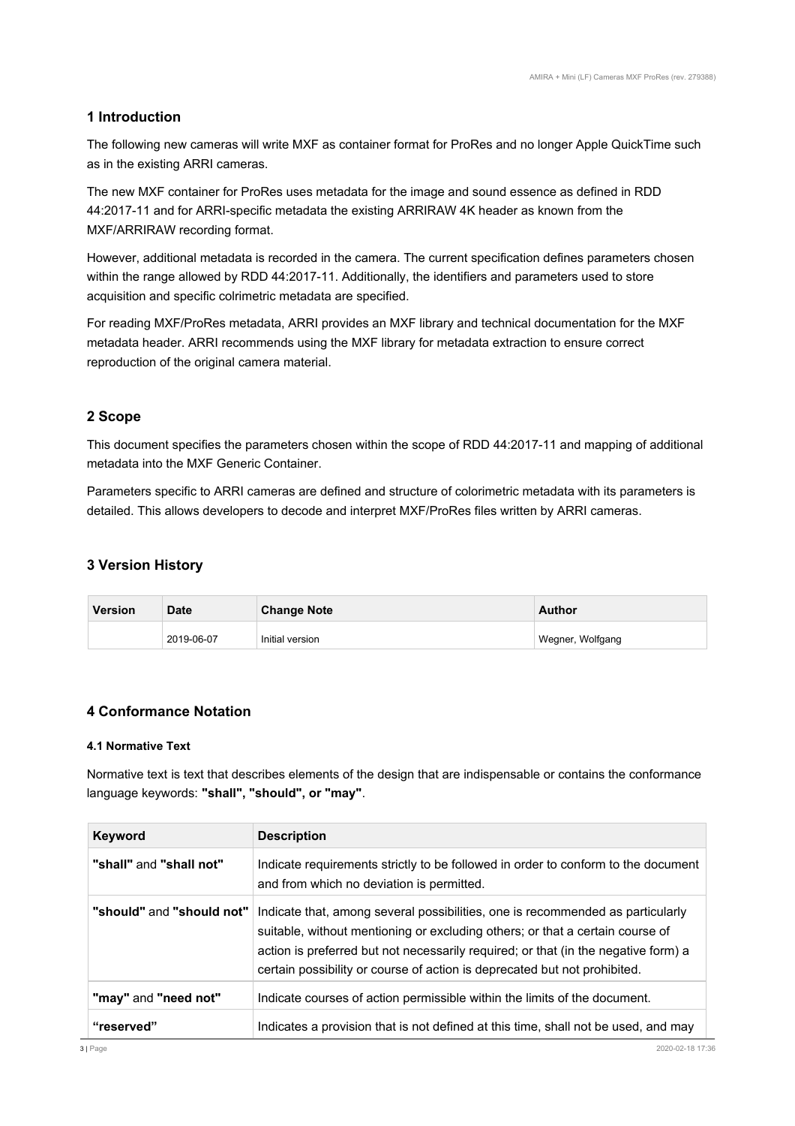# <span id="page-2-0"></span>**1 Introduction**

The following new cameras will write MXF as container format for ProRes and no longer Apple QuickTime such as in the existing ARRI cameras.

The new MXF container for ProRes uses metadata for the image and sound essence as defined in RDD 44:2017-11 and for ARRI-specific metadata the existing ARRIRAW 4K header as known from the MXF/ARRIRAW recording format.

However, additional metadata is recorded in the camera. The current specification defines parameters chosen within the range allowed by RDD 44:2017-11. Additionally, the identifiers and parameters used to store acquisition and specific colrimetric metadata are specified.

For reading MXF/ProRes metadata, ARRI provides an MXF library and technical documentation for the MXF metadata header. ARRI recommends using the MXF library for metadata extraction to ensure correct reproduction of the original camera material.

# **2 Scope**

This document specifies the parameters chosen within the scope of RDD 44:2017-11 and mapping of additional metadata into the MXF Generic Container.

Parameters specific to ARRI cameras are defined and structure of colorimetric metadata with its parameters is detailed. This allows developers to decode and interpret MXF/ProRes files written by ARRI cameras.

# **3 Version History**

| <b>Version</b> | <b>Date</b> | <b>Change Note</b> | Author           |  |
|----------------|-------------|--------------------|------------------|--|
|                | 2019-06-07  | Initial version    | Wegner, Wolfgang |  |

# **4 Conformance Notation**

#### **4.1 Normative Text**

Normative text is text that describes elements of the design that are indispensable or contains the conformance language keywords: **"shall", "should", or "may"**.

| <b>Keyword</b>            | <b>Description</b>                                                                                                                                                                                                                                                                                                                 |
|---------------------------|------------------------------------------------------------------------------------------------------------------------------------------------------------------------------------------------------------------------------------------------------------------------------------------------------------------------------------|
| "shall" and "shall not"   | Indicate requirements strictly to be followed in order to conform to the document<br>and from which no deviation is permitted.                                                                                                                                                                                                     |
| "should" and "should not" | Indicate that, among several possibilities, one is recommended as particularly<br>suitable, without mentioning or excluding others; or that a certain course of<br>action is preferred but not necessarily required; or that (in the negative form) a<br>certain possibility or course of action is deprecated but not prohibited. |
| "may" and "need not"      | Indicate courses of action permissible within the limits of the document.                                                                                                                                                                                                                                                          |
| "reserved"                | Indicates a provision that is not defined at this time, shall not be used, and may                                                                                                                                                                                                                                                 |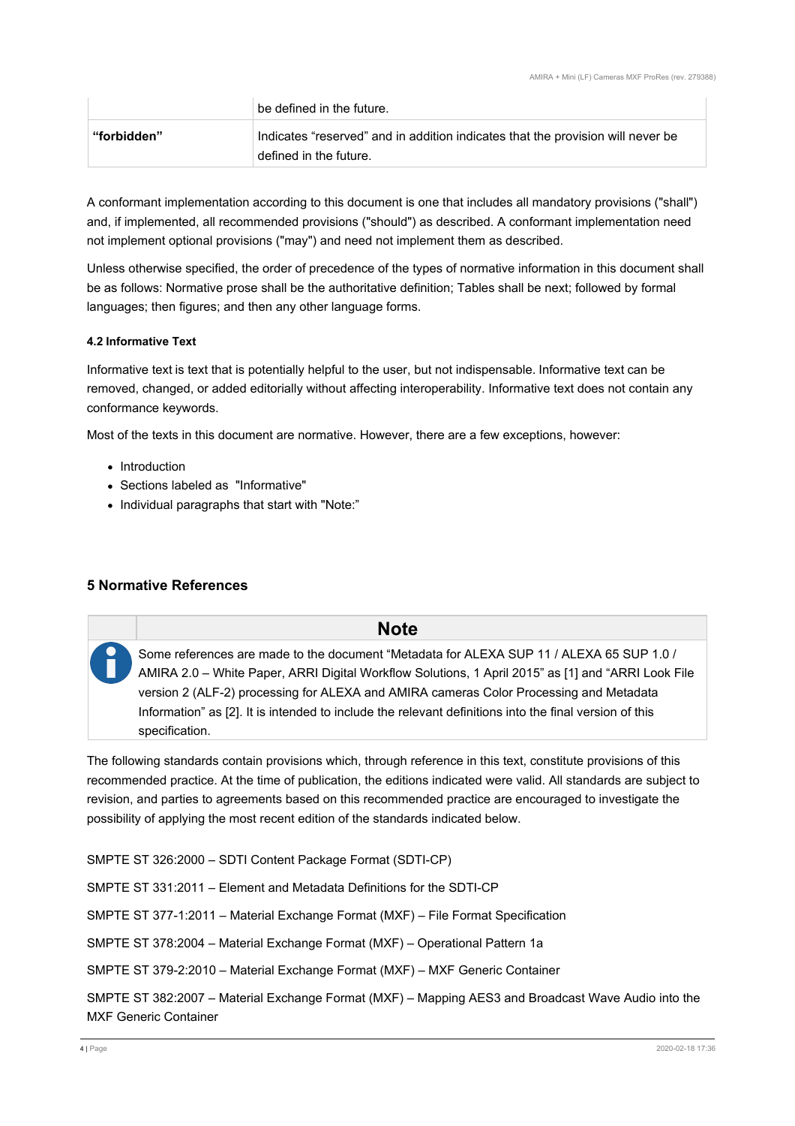<span id="page-3-0"></span>

|             | be defined in the future.                                                                                 |
|-------------|-----------------------------------------------------------------------------------------------------------|
| "forbidden" | Indicates "reserved" and in addition indicates that the provision will never be<br>defined in the future. |

A conformant implementation according to this document is one that includes all mandatory provisions ("shall") and, if implemented, all recommended provisions ("should") as described. A conformant implementation need not implement optional provisions ("may") and need not implement them as described.

Unless otherwise specified, the order of precedence of the types of normative information in this document shall be as follows: Normative prose shall be the authoritative definition; Tables shall be next; followed by formal languages; then figures; and then any other language forms.

#### **4.2 Informative Text**

Informative text is text that is potentially helpful to the user, but not indispensable. Informative text can be removed, changed, or added editorially without affecting interoperability. Informative text does not contain any conformance keywords.

Most of the texts in this document are normative. However, there are a few exceptions, however:

- Introduction
- Sections labeled as "Informative"
- Individual paragraphs that start with "Note:"

# **5 Normative References**

# **Note**

Some references are made to the document "Metadata for ALEXA SUP 11 / ALEXA 65 SUP 1.0 / AMIRA 2.0 – White Paper, ARRI Digital Workflow Solutions, 1 April 2015" as [1] and "ARRI Look File version 2 (ALF-2) processing for ALEXA and AMIRA cameras Color Processing and Metadata Information" as [2]. It is intended to include the relevant definitions into the final version of this specification.

The following standards contain provisions which, through reference in this text, constitute provisions of this recommended practice. At the time of publication, the editions indicated were valid. All standards are subject to revision, and parties to agreements based on this recommended practice are encouraged to investigate the possibility of applying the most recent edition of the standards indicated below.

SMPTE ST 326:2000 – SDTI Content Package Format (SDTI-CP)

SMPTE ST 331:2011 – Element and Metadata Definitions for the SDTI-CP

SMPTE ST 377-1:2011 – Material Exchange Format (MXF) – File Format Specification

SMPTE ST 378:2004 – Material Exchange Format (MXF) – Operational Pattern 1a

SMPTE ST 379-2:2010 – Material Exchange Format (MXF) – MXF Generic Container

SMPTE ST 382:2007 – Material Exchange Format (MXF) – Mapping AES3 and Broadcast Wave Audio into the MXF Generic Container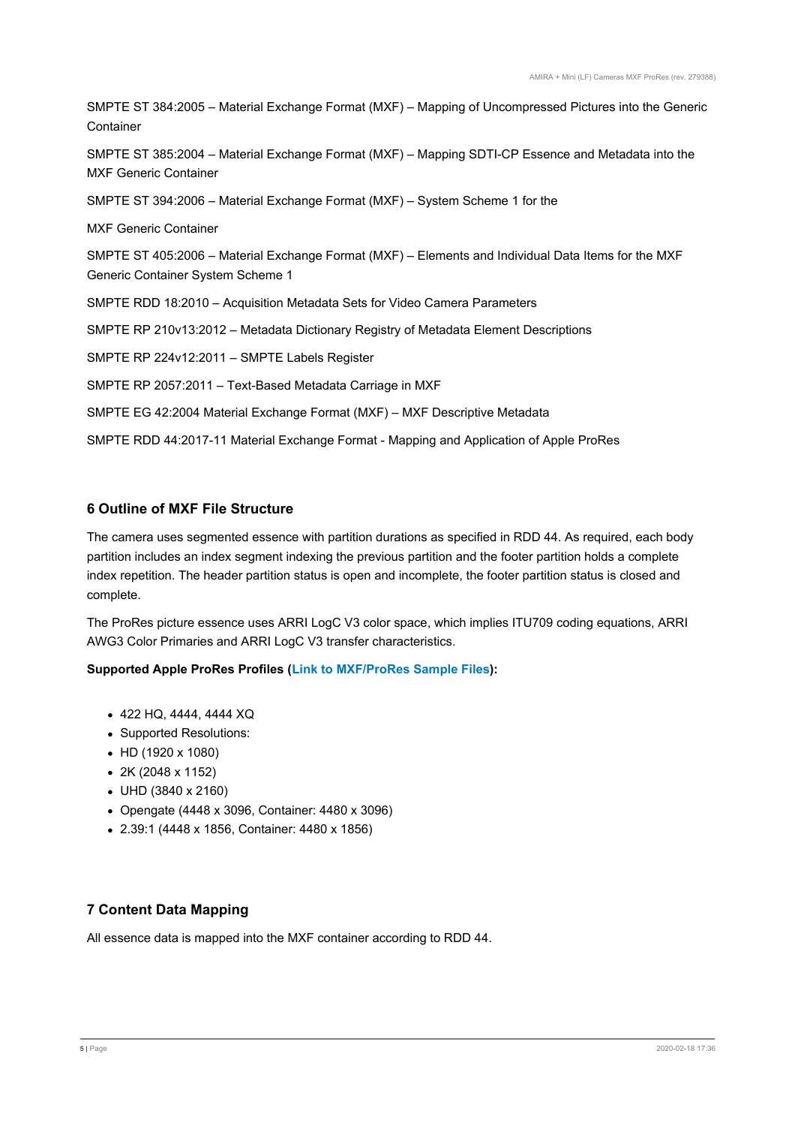<span id="page-4-0"></span>SMPTE ST 384:2005 – Material Exchange Format (MXF) – Mapping of Uncompressed Pictures into the Generic **Container** 

SMPTE ST 385:2004 – Material Exchange Format (MXF) – Mapping SDTI-CP Essence and Metadata into the MXF Generic Container

SMPTE ST 394:2006 – Material Exchange Format (MXF) – System Scheme 1 for the

MXF Generic Container

SMPTE ST 405:2006 – Material Exchange Format (MXF) – Elements and Individual Data Items for the MXF Generic Container System Scheme 1

SMPTE RDD 18:2010 – Acquisition Metadata Sets for Video Camera Parameters

SMPTE RP 210v13:2012 – Metadata Dictionary Registry of Metadata Element Descriptions

SMPTE RP 224v12:2011 – SMPTE Labels Register

SMPTE RP 2057:2011 – Text-Based Metadata Carriage in MXF

SMPTE EG 42:2004 Material Exchange Format (MXF) – MXF Descriptive Metadata

SMPTE RDD 44:2017-11 Material Exchange Format - Mapping and Application of Apple ProRes

#### **6 Outline of MXF File Structure**

The camera uses segmented essence with partition durations as specified in RDD 44. As required, each body partition includes an index segment indexing the previous partition and the footer partition holds a complete index repetition. The header partition status is open and incomplete, the footer partition status is closed and complete.

The ProRes picture essence uses ARRI LogC V3 color space, which implies ITU709 coding equations, ARRI AWG3 Color Primaries and ARRI LogC V3 transfer characteristics.

#### **Supported Apple ProRes Profiles [\(Link to MXF/ProRes Sample Files](https://arriwebgate.com/directlink/a6a82a94d7365eac)):**

- 422 HQ, 4444, 4444 XQ
- Supported Resolutions:
- HD (1920 x 1080)
- 2K (2048 x 1152)
- UHD (3840 x 2160)
- Opengate (4448 x 3096, Container: 4480 x 3096)
- 2.39:1 (4448 x 1856, Container: 4480 x 1856)

# **7 Content Data Mapping**

All essence data is mapped into the MXF container according to RDD 44.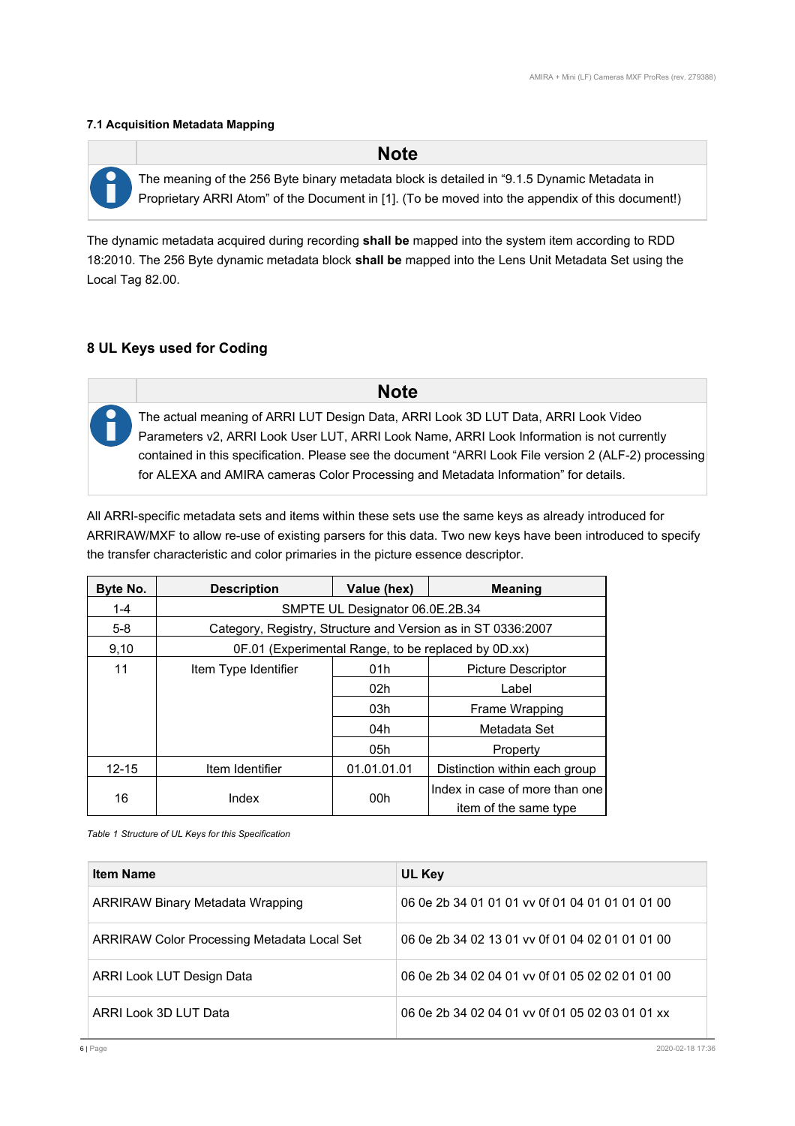#### <span id="page-5-0"></span>**7.1 Acquisition Metadata Mapping**

 **Note** The meaning of the 256 Byte binary metadata block is detailed in "9.1.5 Dynamic Metadata in Proprietary ARRI Atom" of the Document in [1]. (To be moved into the appendix of this document!)

The dynamic metadata acquired during recording **shall be** mapped into the system item according to RDD 18:2010. The 256 Byte dynamic metadata block **shall be** mapped into the Lens Unit Metadata Set using the Local Tag 82.00.

# **8 UL Keys used for Coding**

 **Note** The actual meaning of ARRI LUT Design Data, ARRI Look 3D LUT Data, ARRI Look Video Parameters v2, ARRI Look User LUT, ARRI Look Name, ARRI Look Information is not currently contained in this specification. Please see the document "ARRI Look File version 2 (ALF-2) processing for ALEXA and AMIRA cameras Color Processing and Metadata Information" for details.

All ARRI-specific metadata sets and items within these sets use the same keys as already introduced for ARRIRAW/MXF to allow re-use of existing parsers for this data. Two new keys have been introduced to specify the transfer characteristic and color primaries in the picture essence descriptor.

| Byte No.  | <b>Description</b>                                           | Value (hex) | <b>Meaning</b>                 |  |
|-----------|--------------------------------------------------------------|-------------|--------------------------------|--|
| $1 - 4$   | SMPTE UL Designator 06.0E.2B.34                              |             |                                |  |
| $5-8$     | Category, Registry, Structure and Version as in ST 0336:2007 |             |                                |  |
| 9,10      | 0F.01 (Experimental Range, to be replaced by 0D.xx)          |             |                                |  |
| 11        | Item Type Identifier                                         | 01h         | <b>Picture Descriptor</b>      |  |
|           |                                                              | 02h         | Label                          |  |
|           |                                                              | 03h         | Frame Wrapping                 |  |
|           |                                                              | 04h         | Metadata Set                   |  |
|           |                                                              | 05h         | Property                       |  |
| $12 - 15$ | Item Identifier                                              | 01.01.01.01 | Distinction within each group  |  |
| 16        | Index                                                        | 00h         | Index in case of more than one |  |
|           |                                                              |             | item of the same type          |  |

*Table 1 Structure of UL Keys for this Specification*

| <b>Item Name</b>                                   | UL Key                                          |
|----------------------------------------------------|-------------------------------------------------|
| <b>ARRIRAW Binary Metadata Wrapping</b>            | 06 0e 2b 34 01 01 01 vv 0f 01 04 01 01 01 01 00 |
| <b>ARRIRAW Color Processing Metadata Local Set</b> | 06 0e 2b 34 02 13 01 vv 0f 01 04 02 01 01 01 00 |
| ARRI Look LUT Design Data                          | 06 0e 2b 34 02 04 01 vv 0f 01 05 02 02 01 01 00 |
| ARRI Look 3D LUT Data                              | 06 0e 2b 34 02 04 01 vv 0f 01 05 02 03 01 01 xx |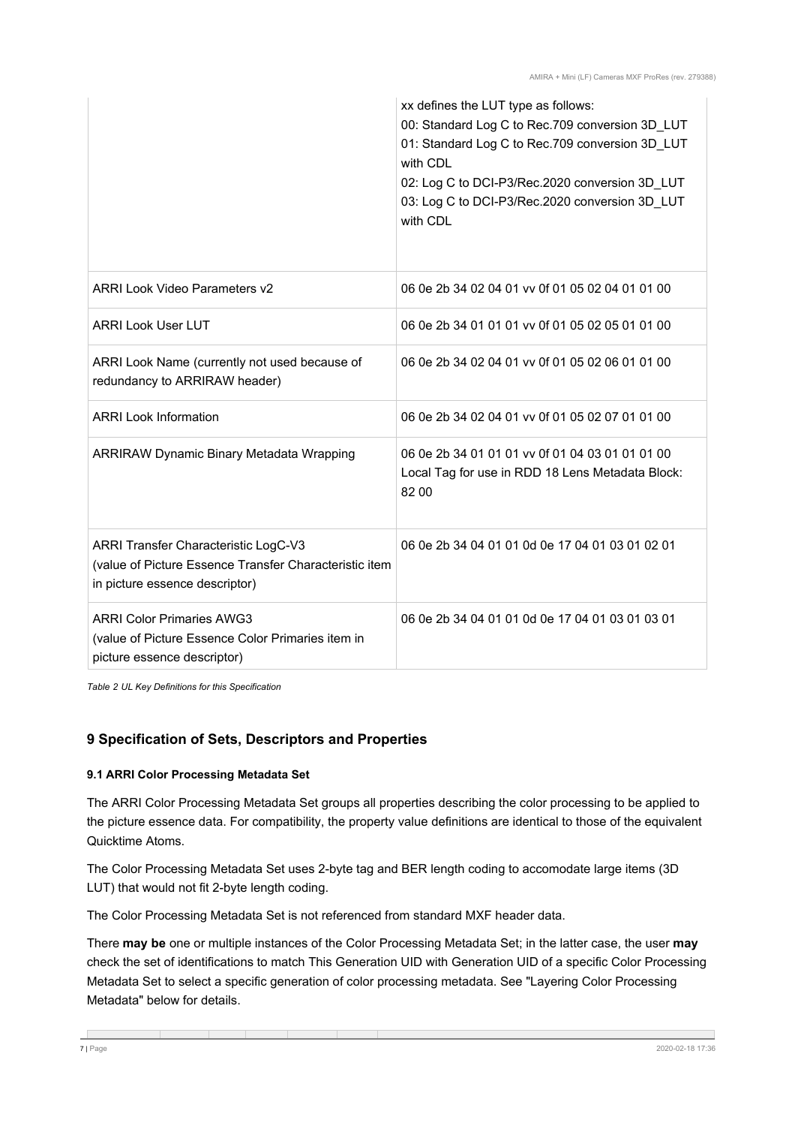<span id="page-6-0"></span>

|                                                                                                                                  | xx defines the LUT type as follows:<br>00: Standard Log C to Rec.709 conversion 3D LUT<br>01: Standard Log C to Rec.709 conversion 3D_LUT<br>with CDL<br>02: Log C to DCI-P3/Rec.2020 conversion 3D LUT<br>03: Log C to DCI-P3/Rec.2020 conversion 3D LUT<br>with CDL |
|----------------------------------------------------------------------------------------------------------------------------------|-----------------------------------------------------------------------------------------------------------------------------------------------------------------------------------------------------------------------------------------------------------------------|
| <b>ARRI Look Video Parameters v2</b>                                                                                             | 06 0e 2b 34 02 04 01 vv 0f 01 05 02 04 01 01 00                                                                                                                                                                                                                       |
| <b>ARRI Look User LUT</b>                                                                                                        | 06 0e 2b 34 01 01 01 vv 0f 01 05 02 05 01 01 00                                                                                                                                                                                                                       |
| ARRI Look Name (currently not used because of<br>redundancy to ARRIRAW header)                                                   | 06 0e 2b 34 02 04 01 vv 0f 01 05 02 06 01 01 00                                                                                                                                                                                                                       |
| <b>ARRI Look Information</b>                                                                                                     | 06 0e 2b 34 02 04 01 vv 0f 01 05 02 07 01 01 00                                                                                                                                                                                                                       |
| <b>ARRIRAW Dynamic Binary Metadata Wrapping</b>                                                                                  | 06 0e 2b 34 01 01 01 vv 0f 01 04 03 01 01 01 00<br>Local Tag for use in RDD 18 Lens Metadata Block:<br>82 00                                                                                                                                                          |
| ARRI Transfer Characteristic LogC-V3<br>(value of Picture Essence Transfer Characteristic item<br>in picture essence descriptor) | 06 0e 2b 34 04 01 01 0d 0e 17 04 01 03 01 02 01                                                                                                                                                                                                                       |
| <b>ARRI Color Primaries AWG3</b><br>(value of Picture Essence Color Primaries item in<br>picture essence descriptor)             | 06 0e 2b 34 04 01 01 0d 0e 17 04 01 03 01 03 01                                                                                                                                                                                                                       |

*Table 2 UL Key Definitions for this Specification*

# **9 Specification of Sets, Descriptors and Properties**

#### **9.1 ARRI Color Processing Metadata Set**

The ARRI Color Processing Metadata Set groups all properties describing the color processing to be applied to the picture essence data. For compatibility, the property value definitions are identical to those of the equivalent Quicktime Atoms.

The Color Processing Metadata Set uses 2-byte tag and BER length coding to accomodate large items (3D LUT) that would not fit 2-byte length coding.

The Color Processing Metadata Set is not referenced from standard MXF header data.

There **may be** one or multiple instances of the Color Processing Metadata Set; in the latter case, the user **may** check the set of identifications to match This Generation UID with Generation UID of a specific Color Processing Metadata Set to select a specific generation of color processing metadata. See "Layering Color Processing Metadata" below for details.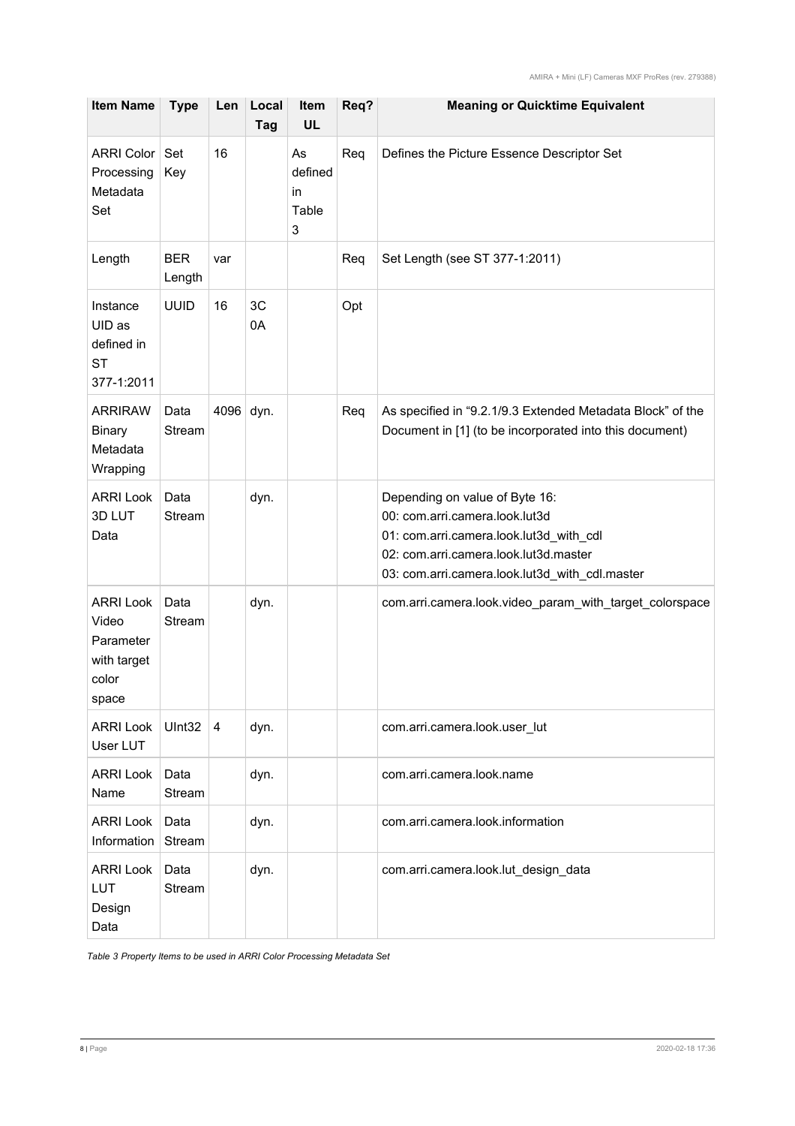| <b>Item Name</b>                                                        | <b>Type</b>          | Len                     | Local<br>Tag | Item<br><b>UL</b>                 | Req? | <b>Meaning or Quicktime Equivalent</b>                                                                                                                                                                 |
|-------------------------------------------------------------------------|----------------------|-------------------------|--------------|-----------------------------------|------|--------------------------------------------------------------------------------------------------------------------------------------------------------------------------------------------------------|
| <b>ARRI Color</b><br>Processing<br>Metadata<br>Set                      | Set<br>Key           | 16                      |              | As<br>defined<br>in<br>Table<br>3 | Req  | Defines the Picture Essence Descriptor Set                                                                                                                                                             |
| Length                                                                  | <b>BER</b><br>Length | var                     |              |                                   | Req  | Set Length (see ST 377-1:2011)                                                                                                                                                                         |
| Instance<br>UID as<br>defined in<br><b>ST</b><br>377-1:2011             | <b>UUID</b>          | 16                      | 3C<br>0A     |                                   | Opt  |                                                                                                                                                                                                        |
| <b>ARRIRAW</b><br><b>Binary</b><br>Metadata<br>Wrapping                 | Data<br>Stream       | 4096 dyn.               |              |                                   | Req  | As specified in "9.2.1/9.3 Extended Metadata Block" of the<br>Document in [1] (to be incorporated into this document)                                                                                  |
| <b>ARRI Look</b><br>3D LUT<br>Data                                      | Data<br>Stream       |                         | dyn.         |                                   |      | Depending on value of Byte 16:<br>00: com.arri.camera.look.lut3d<br>01: com.arri.camera.look.lut3d_with_cdl<br>02: com.arri.camera.look.lut3d.master<br>03: com.arri.camera.look.lut3d_with_cdl.master |
| <b>ARRI Look</b><br>Video<br>Parameter<br>with target<br>color<br>space | Data<br>Stream       |                         | dyn.         |                                   |      | com.arri.camera.look.video_param_with_target_colorspace                                                                                                                                                |
| <b>ARRI Look</b><br>User LUT                                            | UInt32               | $\overline{\mathbf{4}}$ | dyn.         |                                   |      | com.arri.camera.look.user_lut                                                                                                                                                                          |
| <b>ARRI Look</b><br>Name                                                | Data<br>Stream       |                         | dyn.         |                                   |      | com.arri.camera.look.name                                                                                                                                                                              |
| <b>ARRI Look</b><br>Information                                         | Data<br>Stream       |                         | dyn.         |                                   |      | com.arri.camera.look.information                                                                                                                                                                       |
| <b>ARRI Look</b><br>LUT<br>Design<br>Data                               | Data<br>Stream       |                         | dyn.         |                                   |      | com.arri.camera.look.lut_design_data                                                                                                                                                                   |

*Table 3 Property Items to be used in ARRI Color Processing Metadata Set*